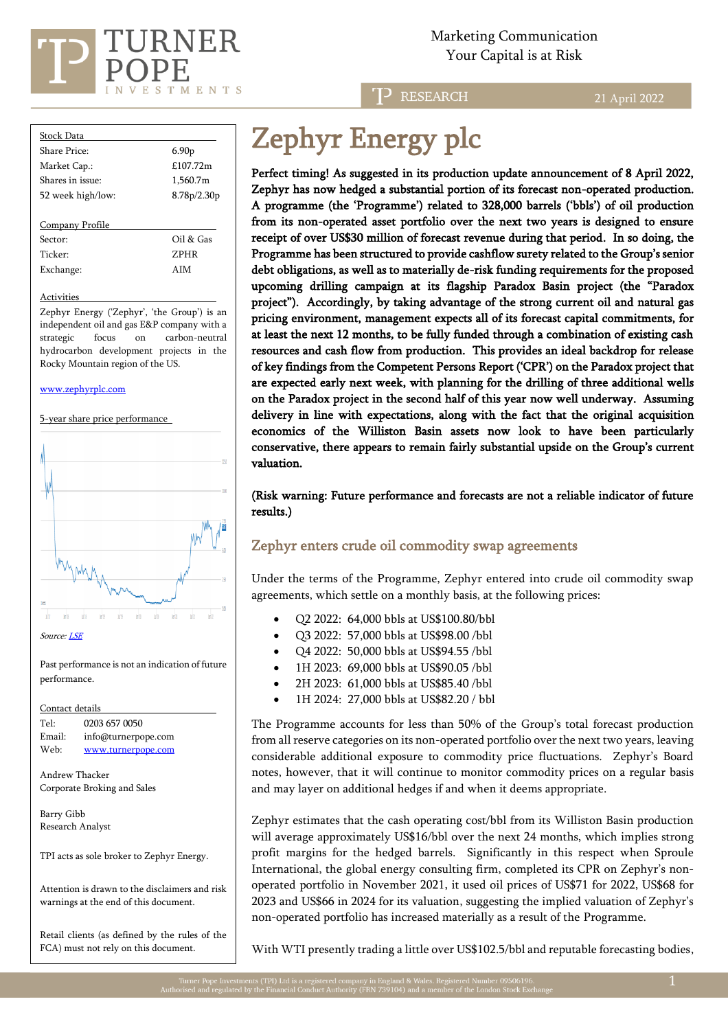

Marketing Communication  $\sum_{i=1}^{n}$   $\sum_{i=1}^{n}$   $\sum_{i=1}^{n}$   $\sum_{i=1}^{n}$   $\sum_{i=1}^{n}$   $\sum_{i=1}^{n}$   $\sum_{i=1}^{n}$   $\sum_{i=1}^{n}$   $\sum_{i=1}^{n}$   $\sum_{i=1}^{n}$   $\sum_{i=1}^{n}$   $\sum_{i=1}^{n}$   $\sum_{i=1}^{n}$   $\sum_{i=1}^{n}$   $\sum_{i=1}^{n}$   $\sum_{i=1}^{n}$   $\sum_{i=1}^{n}$ 

> D **RESEARCH**

21 April 2022

| <b>Stock Data</b> |                   |
|-------------------|-------------------|
| Share Price:      | 6.90 <sub>p</sub> |
| Market Cap.:      | £107.72m          |
| Shares in issue:  | 1,560.7m          |
| 52 week high/low: | 8.78p/2.30p       |
|                   |                   |
| Company Profile   |                   |

Sector: Oil & Gas Ticker: ZPHR Exchange: AIM

**Activities** 

Zephyr Energy ('Zephyr', 'the Group') is an independent oil and gas E&P company with a strategic focus on carbon-neutral hydrocarbon development projects in the Rocky Mountain region of the US.

#### [www.zephyrplc.com](https://www.zephyrplc.com/)

5-year share price performance



Source[: LSE](https://www.londonstockexchange.com/stock/ZPHR/zephyr-energy-plc/company-page)

Past performance is not an indication of future performance.

Contact details Tel: [0203](tel:0203) 657 0050 Email: info@turnerpope.com Web: ww[w.turnerpope.c](http://www.turnerpope.com/)om

Andrew Thacker Corporate Broking and Sales

Barry Gibb Research Analyst

TPI acts as sole broker to Zephyr Energy.

Attention is drawn to the disclaimers and risk warnings at the end of this document.

Retail clients (as defined by the rules of the FCA) must not rely on this document.

# Zephyr Energy plc

Perfect timing! As suggested in its production update announcement of 8 April 2022, Zephyr has now hedged a substantial portion of its forecast non-operated production. A programme (the 'Programme') related to 328,000 barrels ('bbls') of oil production from its non-operated asset portfolio over the next two years is designed to ensure receipt of over US\$30 million of forecast revenue during that period. In so doing, the Programme has been structured to provide cashflow surety related to the Group's senior debt obligations, as well as to materially de-risk funding requirements for the proposed upcoming drilling campaign at its flagship Paradox Basin project (the "Paradox project"). Accordingly, by taking advantage of the strong current oil and natural gas pricing environment, management expects all of its forecast capital commitments, for at least the next 12 months, to be fully funded through a combination of existing cash resources and cash flow from production. This provides an ideal backdrop for release of key findings from the Competent Persons Report ('CPR') on the Paradox project that are expected early next week, with planning for the drilling of three additional wells on the Paradox project in the second half of this year now well underway. Assuming delivery in line with expectations, along with the fact that the original acquisition economics of the Williston Basin assets now look to have been particularly conservative, there appears to remain fairly substantial upside on the Group's current valuation.

(Risk warning: Future performance and forecasts are not a reliable indicator of future results.)

## Zephyr enters crude oil commodity swap agreements

Under the terms of the Programme, Zephyr entered into crude oil commodity swap agreements, which settle on a monthly basis, at the following prices:

- Q2 2022: 64,000 bbls at US\$100.80/bbl
- Q3 2022: 57,000 bbls at US\$98.00 /bbl
- Q4 2022: 50,000 bbls at US\$94.55 /bbl
- 1H 2023: 69,000 bbls at US\$90.05 /bbl
- 2H 2023: 61,000 bbls at US\$85.40 /bbl
- 1H 2024: 27,000 bbls at US\$82.20 / bbl

The Programme accounts for less than 50% of the Group's total forecast production from all reserve categories on its non-operated portfolio over the next two years, leaving considerable additional exposure to commodity price fluctuations. Zephyr's Board notes, however, that it will continue to monitor commodity prices on a regular basis and may layer on additional hedges if and when it deems appropriate.

Zephyr estimates that the cash operating cost/bbl from its Williston Basin production will average approximately US\$16/bbl over the next 24 months, which implies strong profit margins for the hedged barrels. Significantly in this respect when Sproule International, the global energy consulting firm, completed its CPR on Zephyr's nonoperated portfolio in November 2021, it used oil prices of US\$71 for 2022, US\$68 for 2023 and US\$66 in 2024 for its valuation, suggesting the implied valuation of Zephyr's non-operated portfolio has increased materially as a result of the Programme.

With WTI presently trading a little over US\$102.5/bbl and reputable forecasting bodies,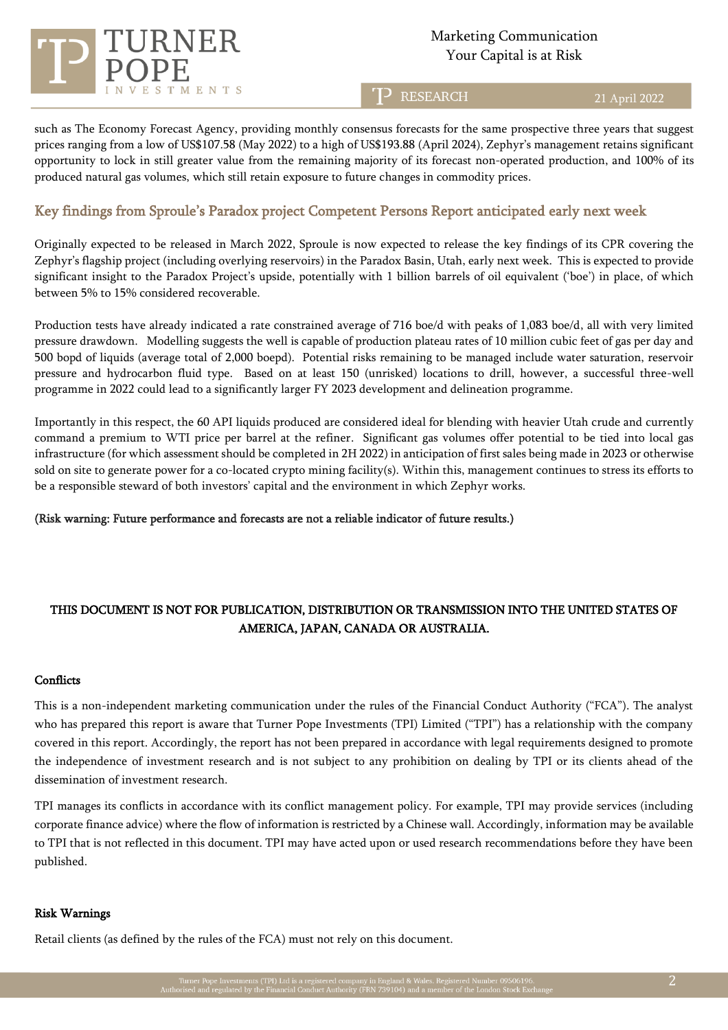

# Marketing Communication

T<sup>D</sup> RESEARCH

21 April 2022

such as The Economy Forecast Agency, providing monthly consensus forecasts for the same prospective three years that suggest prices ranging from a low of US\$107.58 (May 2022) to a high of US\$193.88 (April 2024), Zephyr's management retains significant opportunity to lock in still greater value from the remaining majority of its forecast non-operated production, and 100% of its produced natural gas volumes, which still retain exposure to future changes in commodity prices.

### Key findings from Sproule's Paradox project Competent Persons Report anticipated early next week

Originally expected to be released in March 2022, Sproule is now expected to release the key findings of its CPR covering the Zephyr's flagship project (including overlying reservoirs) in the Paradox Basin, Utah, early next week. This is expected to provide significant insight to the Paradox Project's upside, potentially with 1 billion barrels of oil equivalent ('boe') in place, of which between 5% to 15% considered recoverable.

Production tests have already indicated a rate constrained average of 716 boe/d with peaks of 1,083 boe/d, all with very limited pressure drawdown. Modelling suggests the well is capable of production plateau rates of 10 million cubic feet of gas per day and 500 bopd of liquids (average total of 2,000 boepd). Potential risks remaining to be managed include water saturation, reservoir pressure and hydrocarbon fluid type. Based on at least 150 (unrisked) locations to drill, however, a successful three-well programme in 2022 could lead to a significantly larger FY 2023 development and delineation programme.

Importantly in this respect, the 60 API liquids produced are considered ideal for blending with heavier Utah crude and currently command a premium to WTI price per barrel at the refiner. Significant gas volumes offer potential to be tied into local gas infrastructure (for which assessment should be completed in 2H 2022) in anticipation of first sales being made in 2023 or otherwise sold on site to generate power for a co-located crypto mining facility(s). Within this, management continues to stress its efforts to be a responsible steward of both investors' capital and the environment in which Zephyr works.

(Risk warning: Future performance and forecasts are not a reliable indicator of future results.)

## THIS DOCUMENT IS NOT FOR PUBLICATION, DISTRIBUTION OR TRANSMISSION INTO THE UNITED STATES OF AMERICA, JAPAN, CANADA OR AUSTRALIA.

#### **Conflicts**

This is a non-independent marketing communication under the rules of the Financial Conduct Authority ("FCA"). The analyst who has prepared this report is aware that Turner Pope Investments (TPI) Limited ("TPI") has a relationship with the company covered in this report. Accordingly, the report has not been prepared in accordance with legal requirements designed to promote the independence of investment research and is not subject to any prohibition on dealing by TPI or its clients ahead of the dissemination of investment research.

TPI manages its conflicts in accordance with its conflict management policy. For example, TPI may provide services (including corporate finance advice) where the flow of information is restricted by a Chinese wall. Accordingly, information may be available to TPI that is not reflected in this document. TPI may have acted upon or used research recommendations before they have been published.

#### Risk Warnings

Retail clients (as defined by the rules of the FCA) must not rely on this document.